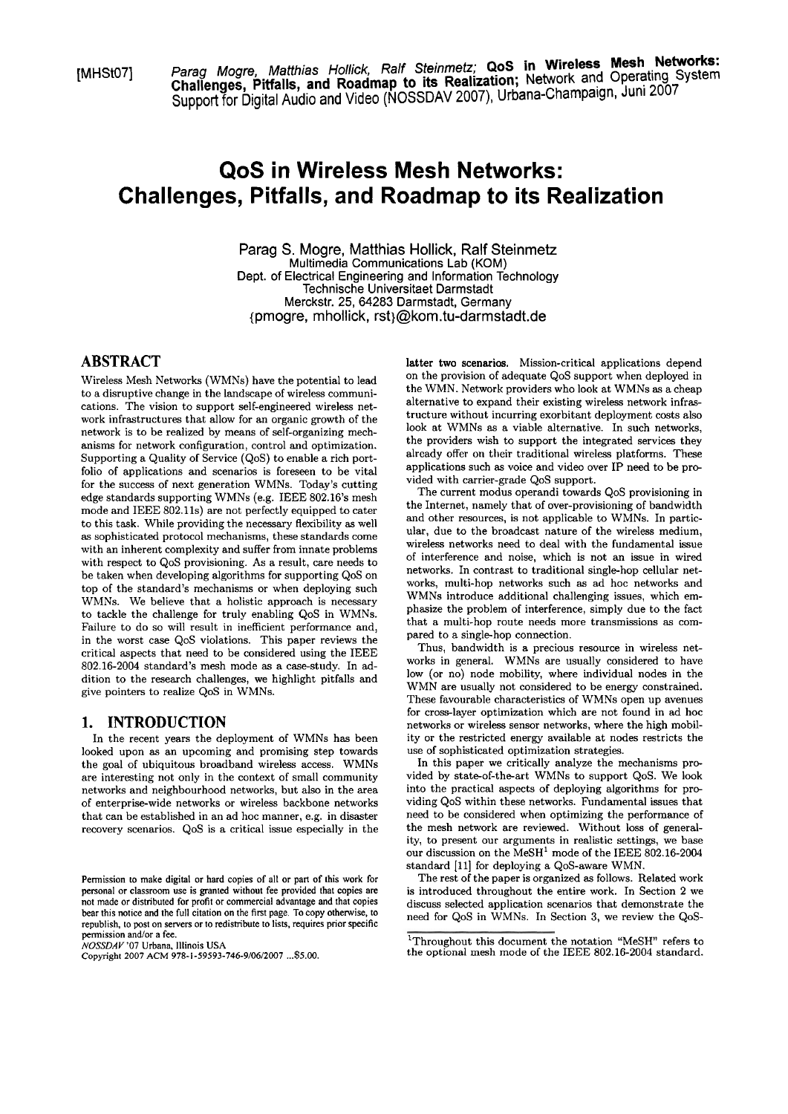[MHSt07] Parag Mogre, Madhias Hollick, Ralf **Steinmetz; QoS in Wireless Mesh Networks:**  Support for Digital Audio and Video (NOSSDAV 2007), Urbana-Champaign, Juni 2007

# **QoS in Wireless Mesh Networks: Challenges, Pitfalls, and Roadmap to its Realization**

Parag S. Mogre, Matthias Hollick, Ralf Steinmetz Multimedia Communications Lab (KOM) Dept. of Electrical Engineering and Information Technology Technische Universitaet Darmstadt Merckstr. 25, 64283 Darmstadt, Germany {pmogre, mhollick, rst)@kom.tu-darmstadt.de

### **ABSTRACT**

Wireless Mesh Networks (WMNs) have the potential to lead to a disruptive change in the landscape of wireless communications. The vision to support self-engineered wireless network infrastructures that allow for an organic growth of the network is to be realized by means of self-organizing mechanisms for network configuration, control and optimization. Supporting a Quality of Service (QoS) to enable a rich portfolio of applications and scenarios is foreseen to be vital for the success of next generation WMNs. Today's cutting edge standards supporting WMNs (e.g. IEEE 802.16's mesh mode and IEEE 802.11s) are not perfectly equipped to cater to this task. While providing the necessary flexibility as well as sophisticated protocol mechanisms, these standards come with an inherent complexity and suffer from innate problems with respect to QoS provisioning. As a result, care needs to be taken when developing algorithms for supporting QoS on top of the standard's mechanisms or when deploying such WMNs. We believe that a holistic approach is necessary to tackle the challenge for truly enabling QoS in WMNs. Failure to do so will result in inefficient performance and, in the worst case QoS violations. This paper reviews the critical aspects that need to be considered using the IEEE 802.16-2004 standard's mesh mode as a case-study. In addition to the research challenges, we highlight pitfalls and give pointers to realize QoS in WMNs.

#### **1. INTRODUCTION**

In the recent years the deployment of WMNs has been looked upon as an upcoming and promising step towards the goal of ubiquitous broadband wireless access. WMNs are interesting not only in the context of small community networks and neighbourhood networks, but also in the area of enterprise-wide networks or wireless backbone networks that can be established in an ad hoc manner, e.g. in disaster recovery scenarios. QoS is a critical issue especially in the latter two scenarios. Mission-critical applications depend on the provision of adequate QoS support when deployed in the WMN. Network providers who look at WMNs as a cheap alternative to expand their existing wireless network infrastructure without incurring exorbitant deployment costs also look at WMNs as a viable alternative. In such networks, the providers wish to support the integrated services they already offer on their traditional wireless platforms. These applications such as voice and video over IP need to be provided with carrier-grade QoS support.

The current modus operandi towards QoS provisioning in the Internet, namely that of over-provisioning of bandwidth and other resources, is not applicable to WMNs. In particular, due to the broadcast nature of the wireless medium, wireless networks need to deal with the fundamental issue of interference and noise, which is not an issue in wired networks. In contrast to traditional single-hop cellular networks, multi-hop networks such as ad hoc networks and WMNs introduce additional challenging issues, which emphasize the problem of interference, simply due to the fact that a multi-hop route needs more transmissions as compared to a single-hop connection.

Thus, bandwidth is a precious resource in wireless networks in general. WMNs are usually considered to have low (or no) node mobility, where individual nodes in the WMN are usually not considered to be energy constrained. These favourable characteristics of WMNs Open up avenues for cross-layer optimization which are not found in ad hoc networks or wireless sensor networks, where the high mobility or the restricted energy available at nodes restricts the use of sophisticated optimization strategies.

In this paper we critically analyze the mechanisms provided by state-of-the-art WMNs to support QoS. We look into the practical aspects of deploying algorithms for providing QoS within these networks. Fundamental issues that need to be considered when optimizing the perforrnance of the mesh network are reviewed. Without loss of generality, to present our arguments in realistic settings, we base our discussion on the MeSH<sup>1</sup> mode of the IEEE 802.16-2004 standard [ll] for deploying a QoS-aware WMN.

The rest of the paper is organized as follows. Related work is introduced throughout the entire work. In Section **2** we discuss selected application scenarios that demonstrate the need for QoS in WMNs. In Section **3,** we review the QoS-

Permission to make digital or hard copies of all or parr of this work for personal or classroom use is granted without fee provided that copies are not made or distributed for profit or commercial advantage and that copies bear this notice and the full citation on the first page. To copy othenvise, to republish, to post on servers or to redistribute to lists, requires prior specific permission and/or a fee.

NOSSDAV **'07** Urbana, Illinois **USA** 

Copyright 2007 ACM 978-1-59593-746-9/06/2007 ... **\$5.00.** 

<sup>&</sup>lt;sup>1</sup>Throughout this document the notation "MeSH" refers to **the** optional mesh mode of the IEEE 802.16-2004 standard.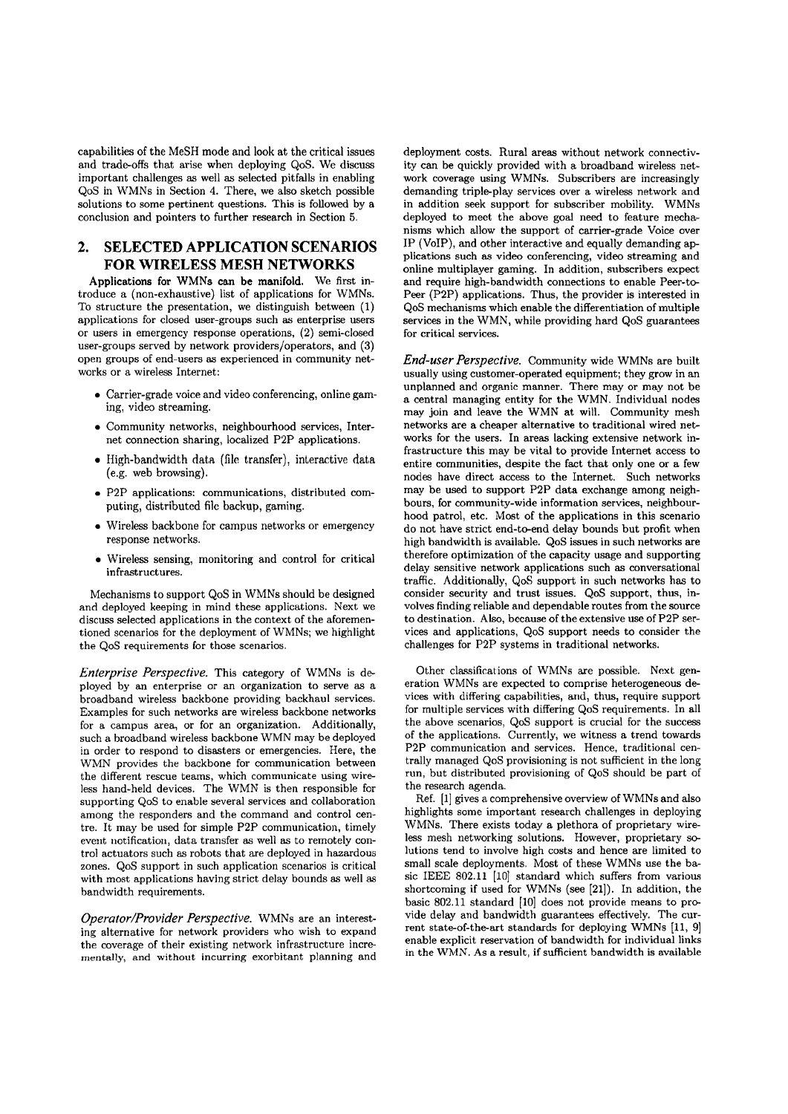capabilities of the MeSH mode and look at the critical issues and trade-offs that arise when deploying QoS. We discuss important challenges as well as selected pitfalls in enabling QoS in WMNs in Section 4. There, we also Sketch possible solutions to some pertinent questions. This is followed by a conclusion and pointers to further research in Section **5.** 

# **2. SELECTED APPLICATION SCENARIOS FOR WIRELESS MESH NETWORKS**

Applications for WMNs can be manifold. We first introduce a (non-exhaustive) list of applications for WMNs. To structure the presentation, we distinguish between (1) applications for closed user-groups such as enterprise users or users in emergency response operations, (2) semi-closed user-groups sewed by network providers/operators, and **(3)**  Open groups of end-users as experienced in community networks or a wireless Internet:

- Carrier-grade voice and video conferencing, online gaming, video streaming.
- Community networks, neighbourhood services, Internet connection sharing, localized P2P applications.
- $\bullet$  High-bandwidth data (file transfer), interactive data (e.g. web browsing).
- P2P applications: communications, distributed computing, distributed file backup, gaming.
- Wireless backbone for campus networks or emergency response networks.
- Wireless sensing, monitoring and control for critical infrastructures.

Mechanisms to support QoS in WMNs should be designed and deployed keeping in mind these applications. Next we discuss selected applications in the context of the aforementioned scenarios for the deployment of WMNs; we highlight the QoS requirements for those scenarios.

*Enterprise Perspective.* This category of WMNs is deployed by an enterprise or an organization to serve as a broadband wireless backbone providing backhaul services. Examples for such networks are wireless backbone networks for a campus area, or for an organization. Additionally, such a broadband wireless backbone WMN may be deployed in order to respond to disasters or emergencies. Here, the WMN provides the backbone for communication between the different rescue teams, which communicate using wireless hand-held devices. The WMN is then responsible for supporting QoS to enable several services and collaboration among the responders and the command and control centre. It may be used for simple P2P communication, timely event notification, data transfer as well as to remotely control actuators such as robots that are deployed in hazardous zones. QoS support in such application scenarios is critical with most applications having strict delay bounds as well as bandwidth requirements.

*Operator/Provider Perspective.* WMNs are an interesting alternative for network providers who wish to expand the coverage of their existing network infrastructure incre**mentally,** and without incurring exorbitant planning and deployment costs. Rural areas without network connectivity can be quickly provided with a broadband wireless network coverage using WMNs. Subscribers are increasingly demanding triple-play services over a wireless network and in addition seek support for subscriber mobility. WMNs deployed to meet the above goal need to feature mechanisrns which allow the support of carrier-grade Voice over IP (VoIP), and other interactive and equally demanding applications such **as** video wnferencing, video streaming and online multiplayer gaming. In addition, subscribers expect and require high-bandwidth connections to enable Peer-to-Peer (P2P) applications. Thus, the provider is interested in QoS mechanisms which enable the differentiation of multiple services in the WMN, while providing hard QoS guarantees for critical services.

*End-user Perspective.* Community wide WMNs are built usually using customer-operated equipment; they grow in an unplanned and organic manner. There may or may not be a central managing entity for the WMN. Individual nodes may join and leave the WMN at will. Community mesh networks are a cheaper alternative to traditional wired networks for the users. In areas lacking extensive network infrastructure this rnay be vital to provide Internet access to entire communities, despite the fact that only one or a few nodes have direct access to the Internet. Such networks may be used to support P2P data exchange among neighbours, for community-wide information services, neighbourhood patrol, etc. Most of the applications in this scenario do not have strict end-to-end delay bounds but profit when high bandwidth is available. QoS issues in such networks are therefore optimization of the capacity usage and supporting delay sensitive network applications such as conversational traffic. AdditionaUy, QoS support in such networks has to consider security and trust issues. QoS support, thus, involves finding reliable and dependable routes from the source to destination. Also, because of the extensive use of P2P services and applications, QoS support needs to consider the challenges for P2P Systems in traditional networks.

Other claxsifications of WMNs are possible. Next generation WMNs are expected to comprise heterogeneous devices with differing capabilities, and, thus, require support for multiple services with differing QoS requirements. In all the above scenarios, QoS support is crucial for the success of the applications. Currently, we witness a trend towards P2P communication and services. Hence, traditional centrally managed QoS provisioning is not sufficient in the long run, but distributed provisioning of QoS should be Part of the research agenda.

Ref. [1] gives a comprehensive overview of WMNs and also highlights some important research challenges in deploying WMNs. There exists today a plethora of proprietary wireless mesh networking solutions. However, proprietary se lutions tend to involve high costs and hence are limited to small scale deployments. Most of these WMNs use the basic IEEE 802.11 [10] standard which suffers from various shortcoming if used for WMNs (See [21]). In addition, the basic 802.11 standard [10] does not provide means to provide delay and bandwidth guarantees effectively. The current state-of-the-art standards for deploying WMNs [11, 9] enable explicit reservation of bandwidth for individual links in the WMN. As a result, if sufficient bandwidth is available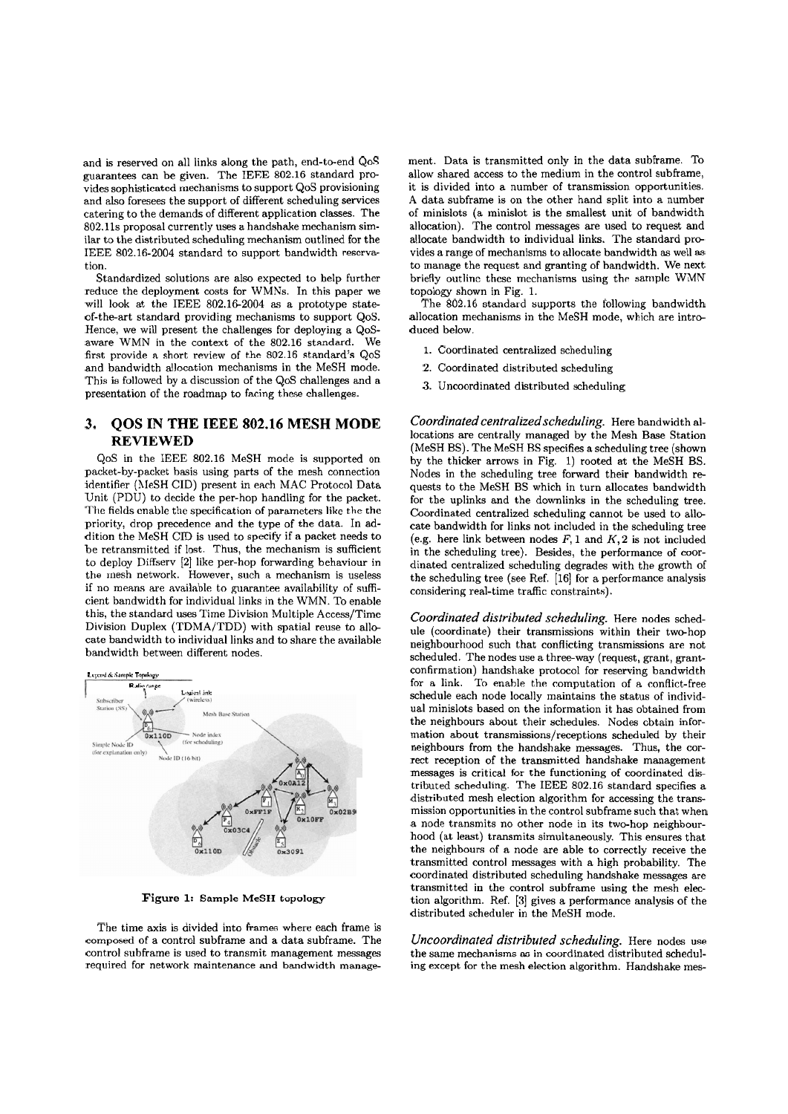and is reserved on all links along the path, end-to-end QoS guarantees can be given. The IEEE 802.16 standard provides sophisticated mechanisms to support QoS provisioning and also foresees the support of different scheduling services catering to the demands of different application classes. The 802.11s proposal currently uses a handshake mechanism similar to the distributed scheduling mechanism outlined for the IEEE 802.16-2004 standard to support bandwidth reservation.

Standardized solutions are also expected to help further reduce the deployment costs for WMNs. In this paper we will look at the IEEE 802.162004 **as** a prototype stateof-the-art standard providing mechanisms to support QoS. Hence, we will present the challenges for deploying a QoSaware WMN in the context of the 802.16 standard. We first provide a short review of the 802.16 standard's QoS and bandwidth allocation mechanisms in the MeSH mode. This is followed by a discussion of the QoS challenges and a presentation of the roadmap to facing these challenges.

# **3. QOS IN THE IEEE 802.16 MESH MODE REVIEWED**

QoS in the IEEE 802.16 MeSH mode is supported on packet-by-packet basis using parts of the mesh connection identifier (hIeSH CID) present in each MAC Protocol Data Unit (PDU) to decide the per-hop handling for the packet. The fields cnable the specification of parameters like the the priority, drop precedence and the type of the data. In **ad**dition the MeSH CID is used to specify if a packet needs to be retransmitted if lost. Thus, the mechanism is sufficient to deploy Diffserv [2] like per-hop fonvarding behaviour in the rnesh network. However, such **a** mechanism is useless if no means are available to guarantee availability of sufficient bandwidth for individual links in the WMN. To enable this, the standard uses Time Division Multiple Access/Time Division Duplex (TDMA/TDD) with spatial reuse to allocate bandwidth to individual links and to share the available bandwidth between different nodes.



Figure 1: Sample **MeSH** topology

The time axis is divided into frames where each frame is composed of a control subframe and a data subframe. The control suhframe is used to transmit management messages required for network maintenance and bandwidth management. Data is transmitted only in the data subframe. TO allow shared access to the medium in the control subframe, it is divided into a number of transmission opportunities. **A** data subframe is on the other hand split into a number of minislots (a minislot is the smallest unit of bandwidth allocation). The control messages are used to request and allocate bandwidth to individual links. The standard provides a range of mechanisms to allocate bandwidth **as** well **as**  to manage the request and granting of bandwidth. We next briefly outline these mechanisms using the sample WMN topology shown in Fig. 1.

The 802.16 standard supports the following bandwidth allocation mechanisms in the MeSH mode, which are introduced below.

- 1. Coordinated centralized scheduling
- 2. Coordinated distributed scheduling
- **3.** Uncoordinated distributed scheduling

Coordinated centralized scheduling. Here bandwidth allocations are centrally managed by the Mesh Base Station (MeSH BS). The MeSH BS specifies a scheduling tree (shown by the thicker arrows in Fig. 1) rooted at the MeSH BS. Nodes in the scheduling tree fotward their bandwidth requests to the MeSH BS which in turn allocates bandwidth for the uplinks and the downlinks in the scheduling tree. Coordinated centralized scheduling cannot be used to allocate bandwidth for links not included in the scheduling tree (e.g. here link between nodes  $F$ , 1 and  $K$ , 2 is not included in the scheduling tree). Besides, the performance of coordinated centralized scheduling degrades with the growth of the scheduling tree (see Ref. [16] for a performance analysis considering real-time traffic constraints).

*Coordinated distributed scheduling.* Here nodes schedule (coordinate) their transmissions within their two-hop neighbourhood such that conflicting transmissions are not scheduled. The nodes use a three-way (request, grant, grantconfirmation) handshake protocol for reserving bandwidth for a link. To enable the computation of a conflict-free schedule each node locally maintains the status of individual minislots based on the information it has obtained from the neighbours about their schedules. Nodes obtain information about transmissions/receptions scheduled by their neighhours from the handshake messages. Thus, the correct reception of the transmitted handshake management messages is critical for the functioning of coordinated distributed scheduling. The IEEE 802.16 standard specifies a distributed mesh election algorithm for accessing the transmission opportunities in the control subframe such that when a node transmits no other node in its two-hop neighbourhood (at least) transmits simultaneously. This ensures that the neighbours of a node are able to correctly receive the transmitted control messages with a high probability. The coordinated distributed scheduling handshake messages are transmitted in the control subframe using the mesh election algorithm. Ref. [3] gives a performance analysis of the distributed scheduler in the MeSH mode.

*Uncoordinated distributed scheduling.* Here nodes use the Same mechanisms as in coordinated distributed scheduling **except** for the mesh election algorithm. Handshake mes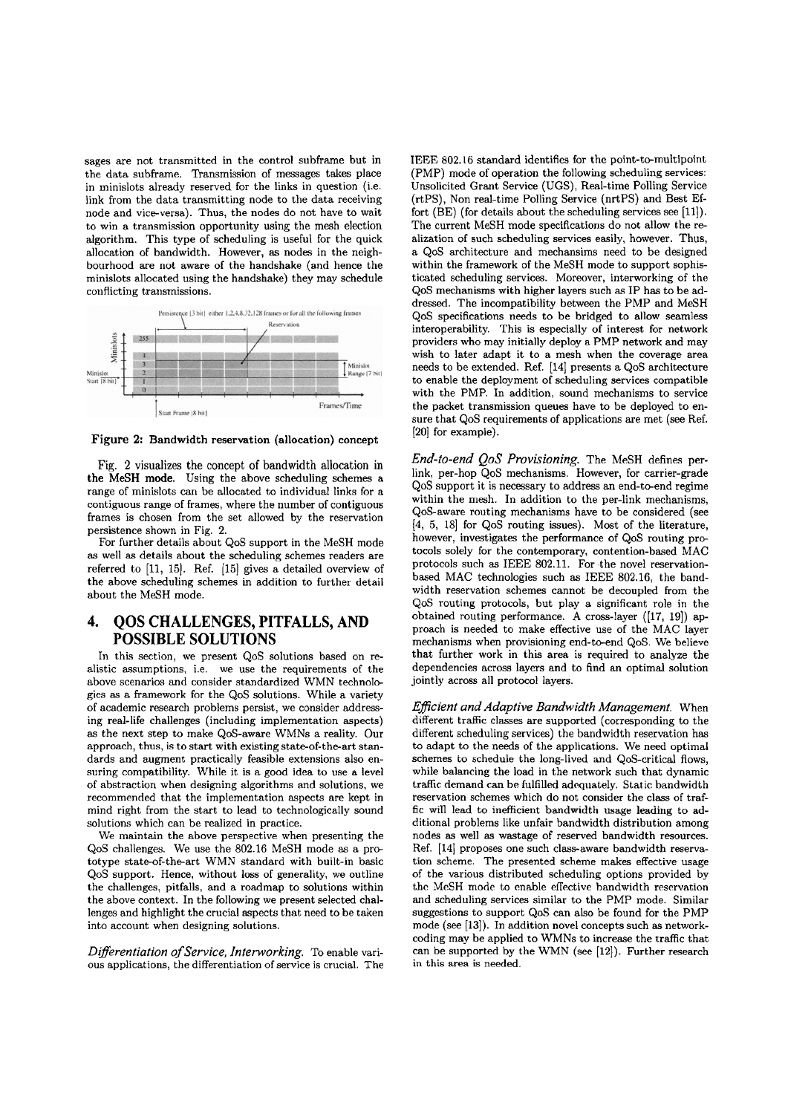sages are not transmitted in the control subframe but in the data subframe. Transmission of messages takes place in minislots already reserved for the links in question (i.e. link from the data transmitting node to the data receiving node and vice-versa). Thus, the nodes do not have to wait to win a transmission opportunity using the mesh election algorithm. This type of scheduling is useful for the quick allocation of bandwidth. However, as nodes in the neighbourhood are not aware of the handshake (and hence the minislots allocated using the handshake) they may schedule conflicting transmissions.



**Figure** 2: Bandwidth reservation (allocation) concept

Fig. 2 visualizes the concept of bandwidth allocation in the MeSH mode. Using the above scheduling schemes a range of minislots can be allocated to individual links for a contiguous range of frames, where the number of contiguous frames is chosen from the set allowed by the reservation persistence shown in Fig. 2.

For further details about QoS support in the MeSH mode **as** well as details about the scheduling schemes readers are referred to [11, 15]. Ref. [15] gives a detailed overview of the above scheduling schernes in addition to further detail about the MeSH mode.

# **4. QOS CHALLENGES, PITFALLS, AND POSSIBLE SOLUTIONS**

In this section, we present QoS solutions based on realistic assumptions, i.e. we use the requirements of the above scenarios and consider standardized WMN technologies **as** a framework for the QoS solutions. While a variety of academic research problems persist, we consider addressing real-life challenges (including implementation aspects) as the next step to make QoS-aware WMNs a reality. Our approach, thus, is to start with existing state-of-the-art standards and augment practically feasible extensions also ensuring compatibility. While it is a good idea to use a level of abstraction when designing algorithms and solutions, we recommended that the implementation aspects are kept in mind right from the start to lead to technologically sound solutions which can be realized in practice.

We maintain the above perspective when presenting the QoS challenges. We use the 802.16 MeSH mode as a prototype stateof-theart WMN standard with built-in basic QoS support. Hence, without loss of generality, we outline the challenges, pitfalls, and a roadmap to solutions within the above context. In the following we present selected challenges and highlight the crucial aspects that need to be taken into account when designing solutions.

*Differentiation of Service, Intenvorking.* To enable various applications, the differentiation of sewice is crucial. The IEEE 802.16 standard identifies for the point-to-multipoint (PMP) mode of operation the following scheduling services: Unsolicited Grant Service (UGS), Real-time Polling Service (rtPS), Non real-time Polling Service (nrtPS) and Best Effort (BE) (for details about the scheduling services see [11]). The current MeSH mode specifications do not allow the realization of such scheduling services easily, however. Thus, a QoS architecture and mechansims need to be designed within the framework of the MeSH mode to support sophisticated scheduling services. Moreover, interworking of the QoS mechanisms with higher layers such as IP has tobe addressed. The incompatibility between the PMP and MeSH QoS specifications needs to be bridged to allow seamless interoperability. This is especially of interest for network providers who may initially deploy a PMP network and may wish to later adapt it to a mesh when the coverage area needs to be extended. Ref. [14] presents a QoS architecture to enable the deployment of scheduling services compatible with the PMP. In addition, sound mechanisms to service the packet transmission queues have to be deployed to ensure that QoS requirements of applications are met (see Ref. [20] for example).

*End-to-end QoS Provisioning.* The hleSH defines perlink, per-hop QoS mechanisms. However, for carrier-grade QoS support it is necessary to address an end-to-end regime within the mesh. In addition to the per-link mechanisms, QoS-aware routing mechanisms have to be considered (see [4, 5, 18] for QoS routing issues). Most of the literature, however, investigates the performance of QoS routing protocols solely for the contemporary, contention-based MAC protocols such as IEEE 802.11. For the novel reservationbased MAC technologies such as IEEE 802.16, the bandwidth reservation schemes cannot be decoupled from the QoS routing protocols, but play a significant role in the obtained routing performance. **A** cross-layer ((17, 191) approach is needed to make effective use of the MAC layer mechanisms when provisioning end-to-end QoS. We believe that further work in this area is required to analyze the dependencies across layers and to find an optimal solution jointly across all protocol layers.

*Efficient and Adaptive Bandwidth Management.* When different traffic classes are supported (corresponding to the different scheduling services) the bandwidth reservation has to adapt to the needs of the applications. We need optimal schemes to schedule the long-lived and QoS-critical flows, while balancing the load in the network such that dynamic traffic demand can be fulfilled adequately. Static bandwidth reservation schemes which do not consider the class of traffic will lead to ineficient bandwidth usage leading to additional problems like unfair bandwidth distribution among nodes as well as wastage of reserved bandwidth resources. Ref. [14] proposes one such class-aware bandwidth reservation scheme. The presented scheme makes effective usage of the various distributed scheduling options provided by the MeSH mode to enable eflective bandwidth resrrvation and scheduling services similar to the PMP mode. Similar suggestions to support QoS can also be found for the PMP mode (see **[13]).** In addition novel concepts such as networkcoding may be applied to WMNs to increase the traffic that can be supported by the WMN **(see [12]).** Rirther research in this area **is** needed.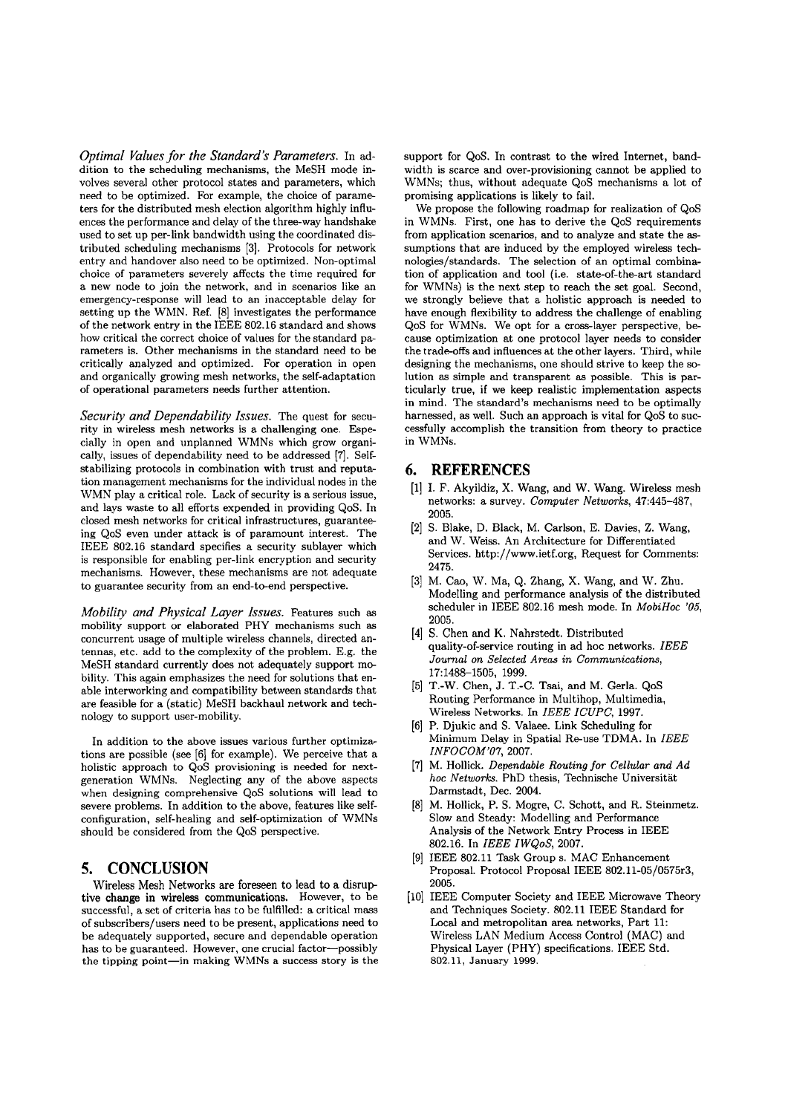*Optimal Values for the Standard's Parameters.* In addition to the scheduling mechanisms, the MeSH mode involves several other protocol states and parameters, which need to be optimized. For example, the choice of parameters for the distributed mesh election algorithm highly influences the performance and delay of the three-way handshake used to set up per-link bandwidth using the coordinated distributed scheduling mechanisms **[3].** Protocols for network entry and handover also need to be optimized. Non-optimal choice of parameters severely affects the time required for a new node to join the network, and in scenarios like an emergency-response will lead to an inacceptable delay for setting up the WMN. Ref. **[8]** investigates the performance of the network entry in the IEEE **802.16** standard and shows how critical the correct choice of values for the standard parameters is. Other mechanisms in the standard need to be critically analyzed and optimized. For operation in Open and organically growing mesh networks, the self-adaptation of operational parameters needs further attention.

*Security und Dependability Issues.* The quest for security in wireless mesh networks is a challenging one. Especially in Open and unplanned WhlNs which grow organically, issues of dependability need to be addressed **[7].** Selfstabilizing protocols in combination with trust and reputation management mechanisms for the individual nodes in the WMN play a critical role. Lack of security is a serious issue, and lays waste to all efforts expended in providing QoS. In closed mesh networks for critical infrastructures, guaranteeing QoS even under attack is of pararnount interest. The IEEE **802.16** standard specifies a security sublayer which is responsible for enabling per-link encryption and security mechanisms. However, these mechanisms are not adequate to guarantee security from an end-to-end perspective.

*Mobility and Physical Layer Issues.* Features such as mobility support or elaborated PHY mechanisms such as concurrent usage of multiple wireless channels, directed antennas, etc. add to the complexity of the problem. E.g. the MeSH standard currently does not adequately support me bility. This again emphasizes the need for solutions that enable interworking and compatibility between standards that are feasible for a (static) MeSH backhaul network and technology to support user-mobility.

In addition to the above issues various further optimizations are possible (see **[6]** for example). We perceive that a holistic approach to QoS provisioning is needed for nextgeneration WMNs. Neglecting any of the above aspects when designing comprehensive QoS solutions will lead to severe problems. In addition to the above, features like selfconfiguration, self-healing and self-optimization of WMNs should be considered from the QoS perspective.

#### **5. CONCLUSION**

Wireless Mesh Networks are foreseen to lead to a disrup tive change in wireless communications. However, to be successful, a set of criteria has to be fulfilled: a critical mass of subscribers/users need to be present, applications need to be adequately supported, secure and dependable operation has to be guaranteed. However, one crucial factor-possibly the tipping point-in making WMNs a success story is the support for QoS. In contrast to the wired Internet, bandwidth is scarce and over-provisioning cannot be applied to WMNs; thus, without adequate QoS mechanisms a lot of promising applications is likely to fail.

We propose the following roadmap for realization of QoS in WMNs. First, one has to derive the QoS requirements from application scenarios, and to analyze and state the assurnptions that are induced by the employed wireless technologies/standards. The selection of an optimal combination of application and tool (i.e. state-of-the-art standard for WMNs) is the next step to reach the set goal. Second, we strongly believe that a holistic approach is needed to have enough flexibility to address the challenge of enabling QoS for WMNs. We opt for a cross-layer perspective, because optimization at one protocol layer needs to consider the trade-offs and influences at the other layers. Third, while designing the mechanisms, one should strive to keep the solution as simple and transparent **as** possible. This is particularly true, if we keep realistic implementation aspects in mind. The standard's mechanisms need to be optimally harnessed, as well. Such an approach is vital for QoS to successfully accomplish the transition from theory to practice in WMNs.

#### *6.* **REFERENCES**

- **[I]** I. **F.** Akyildiz, X. Wang, and W. Wang. Wireless mesh networks: a survey. *Computer Networks,* **47:445-487, 2005.**
- **(21** S. Blake, D. Black, M. Carlson, E. Davies, Z. Wang, and W. Weiss. An Architecture for Differentiated Services. http://www.ietf.org, Request for Comments: **2475.**
- **[3]** M. Cao, W. Ma, Q. Zhang, X. Wang, and W. Zhu. Modelling and performance analysis of the distributed scheduler in IEEE **802.16** mesh mode. In *MobiHoc '05,*  **2005.**
- **[4]** S. Chen and K. Nahrstedt. Distributed quality-of-service routing in ad hoc networks. *IEEE Journal on Selected Areas in Communications,*  **17:1488-1505, 1999.**
- [5] T.-W. Chen, J. T.-C. Tsai, and M. Gerla. QoS Routing Performance in Multihop, Multimedia, Wireless Networks. In *IEEE ICUPC,* **1997.**
- **[6]** P. Djukic and S. Valaee. Link Scheduling for Minimum Delay in Spatial Re-use TDMA. In *IEEE INFOCOM'O7,* **2007.**
- **[7]** M. Hollick. *Dependable Routing for Cellular and Ad hoc Networh.* PhD thesis, Technische Universität Darmstadt, Dec. **2004.**
- **[8]** M. Hollick, P. S. Mogre, C. Schott, and R. Steinmetz. Slow and Steady: Modelling and Performance Analysis of the Network Entry Process in IEEE **802.16.** In *IEEE IWQoS,* **2007.**
- **[9]** IEEE **802.11** Task Group s. MAC Enhancement Proposal. Protocol Proposal IEEE **802.11-05/0575r3, 2005.**
- **[10]** IEEE Computer Society and IEEE Microwave Theory and Techniques Society. **802.11** IEEE Standard for Local and metropolitan area networks, Part **11:**  Wireless LAN Medium Access Control (MAC) and Physical Layer (PHY) specifications. IEEE Std. **802.11,** January 1999.